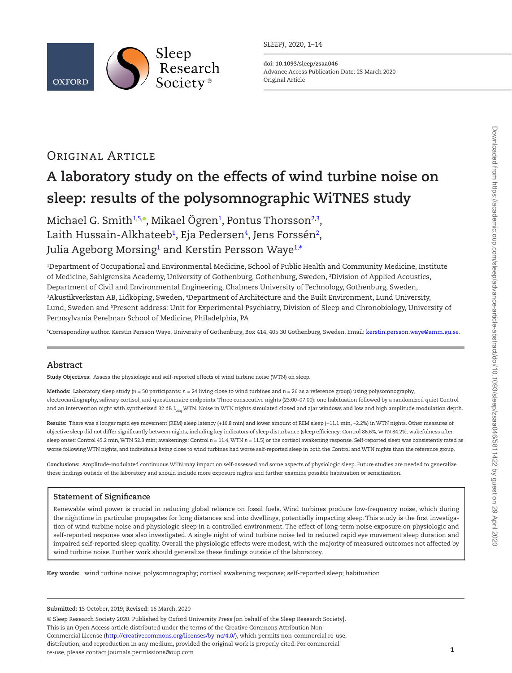

*SLEEPJ*, 2020, 1–14

**doi: 10.1093/sleep/zsaa046** Advance Access Publication Date: 25 March 2020 Original Article

## Original Article

# **A laboratory study on the effects of wind turbine noise on sleep: results of the polysomnographic WiTNES study**

Michael G. Smith<sup>1[,5](#page-0-1)[,](http://orcid.org/0000-0001-8541-9625)</sup>°, Mikael Ögren<sup>1</sup>, Pontus Thorsson<sup>2,[3](#page-0-3)</sup>, Laith Hussain-Alkhateeb<del>'</del>, Eja Pedersen<del>'</del>, Jens Forssén<del>'</del>, Julia Ageborg Morsing<sup>1</sup> and Kerstin Persson Waye<sup>1,</sup>[\\*](#page-0-5)

<span id="page-0-4"></span><span id="page-0-3"></span><span id="page-0-2"></span><span id="page-0-0"></span>1 Department of Occupational and Environmental Medicine, School of Public Health and Community Medicine, Institute of Medicine, Sahlgrenska Academy, University of Gothenburg, Gothenburg, Sweden, 2 Division of Applied Acoustics, Department of Civil and Environmental Engineering, Chalmers University of Technology, Gothenburg, Sweden, 3 Akustikverkstan AB, Lidköping, Sweden, 4 Department of Architecture and the Built Environment, Lund University, Lund, Sweden and <sup>s</sup>Present address: Unit for Experimental Psychiatry, Division of Sleep and Chronobiology, University of Pennsylvania Perelman School of Medicine, Philadelphia, PA

<span id="page-0-5"></span><span id="page-0-1"></span>\*Corresponding author. Kerstin Persson Waye, University of Gothenburg, Box 414, 405 30 Gothenburg, Sweden. Email: [kerstin.persson.waye@amm.gu.se.](mailto:kerstin.persson.waye@amm.gu.se?subject=)

## **Abstract**

**Study Objectives:** Assess the physiologic and self-reported effects of wind turbine noise (WTN) on sleep.

**Methods:** Laboratory sleep study (*n* = 50 participants: *n* = 24 living close to wind turbines and *n* = 26 as a reference group) using polysomnography, electrocardiography, salivary cortisol, and questionnaire endpoints. Three consecutive nights (23:00–07:00): one habituation followed by a randomized quiet Control and an intervention night with synthesized 32 dB *L<sub>AEq</sub>* WTN. Noise in WTN nights simulated closed and ajar windows and low and high amplitude modulation depth.

**Results:** There was a longer rapid eye movement (REM) sleep latency (+16.8 min) and lower amount of REM sleep (−11.1 min, −2.2%) in WTN nights. Other measures of objective sleep did not differ significantly between nights, including key indicators of sleep disturbance (sleep efficiency: Control 86.6%, WTN 84.2%; wakefulness after sleep onset: Control 45.2 min, WTN 52.3 min; awakenings: Control  $n = 11.4$ , WTN  $n = 11.5$ ) or the cortisol awakening response. Self-reported sleep was consistently rated as worse following WTN nights, and individuals living close to wind turbines had worse self-reported sleep in both the Control and WTN nights than the reference group.

**Conclusions:** Amplitude-modulated continuous WTN may impact on self-assessed and some aspects of physiologic sleep. Future studies are needed to generalize these findings outside of the laboratory and should include more exposure nights and further examine possible habituation or sensitization.

## **Statement of Significance**

Renewable wind power is crucial in reducing global reliance on fossil fuels. Wind turbines produce low-frequency noise, which during the nighttime in particular propagates for long distances and into dwellings, potentially impacting sleep. This study is the first investigation of wind turbine noise and physiologic sleep in a controlled environment. The effect of long-term noise exposure on physiologic and self-reported response was also investigated. A single night of wind turbine noise led to reduced rapid eye movement sleep duration and impaired self-reported sleep quality. Overall the physiologic effects were modest, with the majority of measured outcomes not affected by wind turbine noise. Further work should generalize these findings outside of the laboratory.

**Key words:** wind turbine noise; polysomnography; cortisol awakening response; self-reported sleep; habituation

## **Submitted:** 15 October, 2019; **Revised:** 16 March, 2020

This is an Open Access article distributed under the terms of the Creative Commons Attribution Non-Commercial License ([http://creativecommons.org/licenses/by-nc/4.0/\)](http://creativecommons.org/licenses/by-nc/4.0/), which permits non-commercial re-use, distribution, and reproduction in any medium, provided the original work is properly cited. For commercial re-use, please contact journals.permissions@oup.com © Sleep Research Society 2020. Published by Oxford University Press [on behalf of the Sleep Research Society].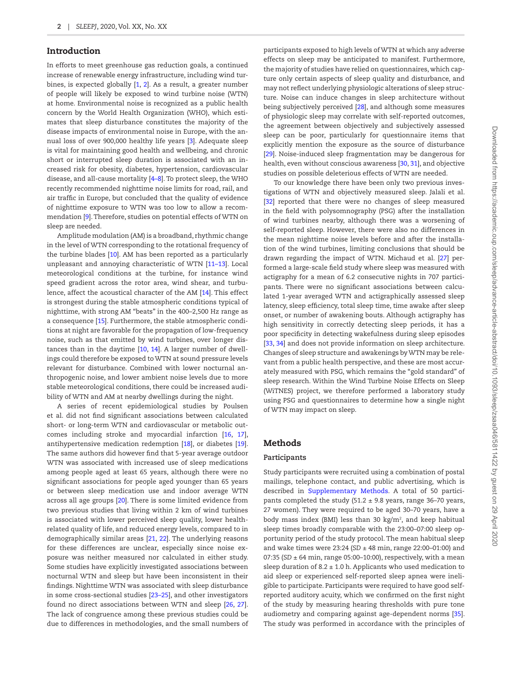## Introduction

In efforts to meet greenhouse gas reduction goals, a continued increase of renewable energy infrastructure, including wind turbines, is expected globally [\[1](#page-11-0), [2](#page-11-1)]. As a result, a greater number of people will likely be exposed to wind turbine noise (WTN) at home. Environmental noise is recognized as a public health concern by the World Health Organization (WHO), which estimates that sleep disturbance constitutes the majority of the disease impacts of environmental noise in Europe, with the annual loss of over 900,000 healthy life years [\[3](#page-11-2)]. Adequate sleep is vital for maintaining good health and wellbeing, and chronic short or interrupted sleep duration is associated with an increased risk for obesity, diabetes, hypertension, cardiovascular disease, and all-cause mortality [4–8]. To protect sleep, the WHO recently recommended nighttime noise limits for road, rail, and air traffic in Europe, but concluded that the quality of evidence of nighttime exposure to WTN was too low to allow a recommendation [\[9](#page-11-3)]. Therefore, studies on potential effects of WTN on sleep are needed.

Amplitude modulation (AM) is a broadband, rhythmic change in the level of WTN corresponding to the rotational frequency of the turbine blades [[10](#page-11-4)]. AM has been reported as a particularly unpleasant and annoying characteristic of WTN [11–13]. Local meteorological conditions at the turbine, for instance wind speed gradient across the rotor area, wind shear, and turbulence, affect the acoustical character of the AM [[14](#page-12-0)]. This effect is strongest during the stable atmospheric conditions typical of nighttime, with strong AM "beats" in the 400–2,500 Hz range as a consequence [[15\]](#page-12-1). Furthermore, the stable atmospheric conditions at night are favorable for the propagation of low-frequency noise, such as that emitted by wind turbines, over longer distances than in the daytime [[10,](#page-11-4) [14](#page-12-0)]. A larger number of dwellings could therefore be exposed to WTN at sound pressure levels relevant for disturbance. Combined with lower nocturnal anthropogenic noise, and lower ambient noise levels due to more stable meteorological conditions, there could be increased audibility of WTN and AM at nearby dwellings during the night.

A series of recent epidemiological studies by Poulsen et al. did not find significant associations between calculated short- or long-term WTN and cardiovascular or metabolic outcomes including stroke and myocardial infarction [[16](#page-12-2), [17\]](#page-12-3), antihypertensive medication redemption [\[18\]](#page-12-4), or diabetes [\[19\]](#page-12-5). The same authors did however find that 5-year average outdoor WTN was associated with increased use of sleep medications among people aged at least 65 years, although there were no significant associations for people aged younger than 65 years or between sleep medication use and indoor average WTN across all age groups [\[20\]](#page-12-6). There is some limited evidence from two previous studies that living within 2 km of wind turbines is associated with lower perceived sleep quality, lower healthrelated quality of life, and reduced energy levels, compared to in demographically similar areas [[21,](#page-12-7) [22\]](#page-12-8). The underlying reasons for these differences are unclear, especially since noise exposure was neither measured nor calculated in either study. Some studies have explicitly investigated associations between nocturnal WTN and sleep but have been inconsistent in their findings. Nighttime WTN was associated with sleep disturbance in some cross-sectional studies [23–25], and other investigators found no direct associations between WTN and sleep [[26](#page-12-9), [27\]](#page-12-10). The lack of congruence among these previous studies could be due to differences in methodologies, and the small numbers of

participants exposed to high levels of WTN at which any adverse effects on sleep may be anticipated to manifest. Furthermore, the majority of studies have relied on questionnaires, which capture only certain aspects of sleep quality and disturbance, and may not reflect underlying physiologic alterations of sleep structure. Noise can induce changes in sleep architecture without being subjectively perceived [[28](#page-12-11)], and although some measures of physiologic sleep may correlate with self-reported outcomes, the agreement between objectively and subjectively assessed sleep can be poor, particularly for questionnaire items that explicitly mention the exposure as the source of disturbance [\[29](#page-12-12)]. Noise-induced sleep fragmentation may be dangerous for health, even without conscious awareness [[30,](#page-12-13) [31\]](#page-12-14), and objective studies on possible deleterious effects of WTN are needed.

To our knowledge there have been only two previous investigations of WTN and objectively measured sleep. Jalali et al. [\[32](#page-12-15)] reported that there were no changes of sleep measured in the field with polysomnography (PSG) after the installation of wind turbines nearby, although there was a worsening of self-reported sleep. However, there were also no differences in the mean nighttime noise levels before and after the installation of the wind turbines, limiting conclusions that should be drawn regarding the impact of WTN. Michaud et al. [[27](#page-12-10)] performed a large-scale field study where sleep was measured with actigraphy for a mean of 6.2 consecutive nights in 707 participants. There were no significant associations between calculated 1-year averaged WTN and actigraphically assessed sleep latency, sleep efficiency, total sleep time, time awake after sleep onset, or number of awakening bouts. Although actigraphy has high sensitivity in correctly detecting sleep periods, it has a poor specificity in detecting wakefulness during sleep episodes [\[33](#page-12-16), [34\]](#page-12-17) and does not provide information on sleep architecture. Changes of sleep structure and awakenings by WTN may be relevant from a public health perspective, and these are most accurately measured with PSG, which remains the "gold standard" of sleep research. Within the Wind Turbine Noise Effects on Sleep (WiTNES) project, we therefore performed a laboratory study using PSG and questionnaires to determine how a single night of WTN may impact on sleep.

## Methods

## **Participants**

Study participants were recruited using a combination of postal mailings, telephone contact, and public advertising, which is described in [Supplementary Methods.](http://academic.oup.com/sleep/article-lookup/doi/10.1093/sleep/zsaa046#supplementary-data) A total of 50 participants completed the study (51.2  $\pm$  9.8 years, range 36-70 years, 27 women). They were required to be aged 30–70 years, have a body mass index (BMI) less than 30 kg/m<sup>2</sup>, and keep habitual sleep times broadly comparable with the 23:00–07:00 sleep opportunity period of the study protocol. The mean habitual sleep and wake times were 23:24 (*SD* ± 48 min, range 22:00–01:00) and 07:35 (*SD* ± 64 min, range 05:00–10:00), respectively, with a mean sleep duration of 8.2  $\pm$  1.0 h. Applicants who used medication to aid sleep or experienced self-reported sleep apnea were ineligible to participate. Participants were required to have good selfreported auditory acuity, which we confirmed on the first night of the study by measuring hearing thresholds with pure tone audiometry and comparing against age-dependent norms [\[35\]](#page-12-18). The study was performed in accordance with the principles of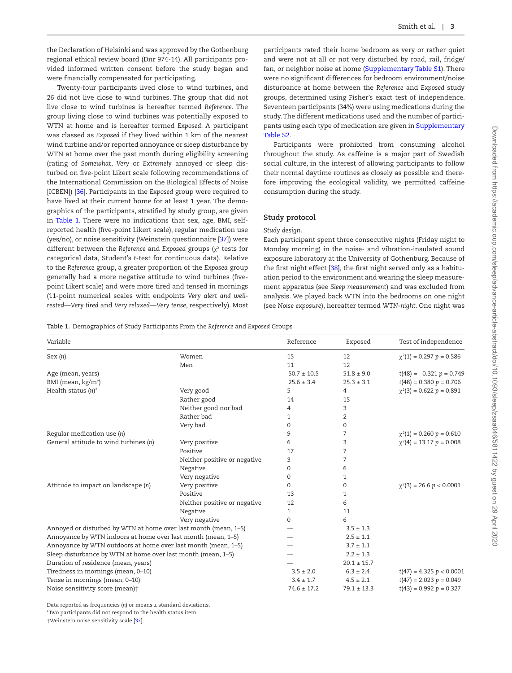the Declaration of Helsinki and was approved by the Gothenburg regional ethical review board (Dnr 974-14). All participants provided informed written consent before the study began and were financially compensated for participating.

Twenty-four participants lived close to wind turbines, and 26 did not live close to wind turbines. The group that did not live close to wind turbines is hereafter termed *Reference*. The group living close to wind turbines was potentially exposed to WTN at home and is hereafter termed *Exposed*. A participant was classed as *Exposed* if they lived within 1 km of the nearest wind turbine and/or reported annoyance or sleep disturbance by WTN at home over the past month during eligibility screening (rating of *Somewhat*, *Very* or *Extremely* annoyed or sleep disturbed on five-point Likert scale following recommendations of the International Commission on the Biological Effects of Noise [ICBEN]) [\[36](#page-12-19)]. Participants in the *Exposed* group were required to have lived at their current home for at least 1 year. The demographics of the participants, stratified by study group, are given in [Table 1.](#page-2-0) There were no indications that sex, age, BMI, selfreported health (five-point Likert scale), regular medication use (yes/no), or noise sensitivity (Weinstein questionnaire [[37](#page-12-20)]) were different between the *Reference* and *Exposed* groups (χ<sup>2</sup> tests for categorical data, Student's *t*-test for continuous data). Relative to the *Reference* group, a greater proportion of the *Exposed* group generally had a more negative attitude to wind turbines (fivepoint Likert scale) and were more tired and tensed in mornings (11-point numerical scales with endpoints *Very alert and wellrested*—*Very tired* and *Very relaxed*—*Very tense*, respectively). Most participants rated their home bedroom as very or rather quiet and were not at all or not very disturbed by road, rail, fridge/ fan, or neighbor noise at home ([Supplementary Table S1](http://academic.oup.com/sleep/article-lookup/doi/10.1093/sleep/zsaa046#supplementary-data)). There were no significant differences for bedroom environment/noise disturbance at home between the *Reference* and *Exposed* study groups, determined using Fisher's exact test of independence. Seventeen participants (34%) were using medications during the study. The different medications used and the number of participants using each type of medication are given in [Supplementary](http://academic.oup.com/sleep/article-lookup/doi/10.1093/sleep/zsaa046#supplementary-data)  [Table S2.](http://academic.oup.com/sleep/article-lookup/doi/10.1093/sleep/zsaa046#supplementary-data)

Participants were prohibited from consuming alcohol throughout the study. As caffeine is a major part of Swedish social culture, in the interest of allowing participants to follow their normal daytime routines as closely as possible and therefore improving the ecological validity, we permitted caffeine consumption during the study.

## **Study protocol**

#### *Study design.*

Each participant spent three consecutive nights (Friday night to Monday morning) in the noise- and vibration-insulated sound exposure laboratory at the University of Gothenburg. Because of the first night effect [[38](#page-12-21)], the first night served only as a habituation period to the environment and wearing the sleep measurement apparatus (see *Sleep measurement*) and was excluded from analysis. We played back WTN into the bedrooms on one night (see *Noise exposure*), hereafter termed *WTN-night*. One night was

<span id="page-2-0"></span>**Table 1.** Demographics of Study Participants From the *Reference* and *Exposed* Groups

| Variable                                                        |                              | Reference       | Exposed         | Test of independence            |
|-----------------------------------------------------------------|------------------------------|-----------------|-----------------|---------------------------------|
| Sex(n)                                                          | Women                        | 15              | 12              | $\chi^2(1) = 0.297 p = 0.586$   |
|                                                                 | Men                          | 11              | 12              |                                 |
| Age (mean, years)                                               |                              | $50.7 \pm 10.5$ | $51.8 \pm 9.0$  | $t(48) = -0.321 p = 0.749$      |
| BMI (mean, kg/m <sup>2</sup> )                                  |                              | $25.6 \pm 3.4$  | $25.3 \pm 3.1$  | $t(48) = 0.380 p = 0.706$       |
| Health status $(n)^*$                                           | Very good                    | 5               | 4               | $\chi^2(3) = 0.622 p = 0.891$   |
|                                                                 | Rather good                  | 14              | 15              |                                 |
|                                                                 | Neither good nor bad         | 4               | 3               |                                 |
|                                                                 | Rather bad                   | 1               | 2               |                                 |
|                                                                 | Very bad                     | $\Omega$        | $\Omega$        |                                 |
| Regular medication use (n)                                      |                              | 9               | 7               | $\chi^2(1) = 0.260 p = 0.610$   |
| General attitude to wind turbines (n)                           | Very positive                | 6               | 3               | $\chi^2(4) = 13.17 p = 0.008$   |
|                                                                 | Positive                     | 17              | 7               |                                 |
|                                                                 | Neither positive or negative | 3               | 7               |                                 |
|                                                                 | Negative                     | $\Omega$        | 6               |                                 |
|                                                                 | Very negative                | $\Omega$        | 1               |                                 |
| Attitude to impact on landscape (n)                             | Very positive                | $\Omega$        | 0               | $\chi^2(3) = 26.6 \ p < 0.0001$ |
|                                                                 | Positive                     | 13              | 1               |                                 |
|                                                                 | Neither positive or negative | 12              | 6               |                                 |
|                                                                 | Negative                     | 1               | 11              |                                 |
|                                                                 | Very negative                | $\Omega$        | 6               |                                 |
| Annoyed or disturbed by WTN at home over last month (mean, 1-5) |                              |                 | $3.5 \pm 1.3$   |                                 |
| Annoyance by WTN indoors at home over last month (mean, 1-5)    |                              |                 | $2.5 \pm 1.1$   |                                 |
| Annoyance by WTN outdoors at home over last month (mean, 1-5)   |                              |                 | $3.7 \pm 1.1$   |                                 |
| Sleep disturbance by WTN at home over last month (mean, 1-5)    |                              |                 | $2.2 \pm 1.3$   |                                 |
| Duration of residence (mean, years)                             |                              |                 | $20.1 \pm 15.7$ |                                 |
| Tiredness in mornings (mean, 0-10)                              |                              | $3.5 \pm 2.0$   | $6.3 \pm 2.4$   | $t(47) = 4.325 p < 0.0001$      |
| Tense in mornings (mean, 0-10)                                  |                              | $3.4 \pm 1.7$   | $4.5 \pm 2.1$   | $t(47) = 2.023 p = 0.049$       |
| Noise sensitivity score (mean)+                                 |                              | $74.6 \pm 17.2$ | $79.1 \pm 13.3$ | $t(43) = 0.992 p = 0.327$       |

Data reported as frequencies (*n*) or means ± standard deviations.

\*Two participants did not respond to the health status item.

†Weinstein noise sensitivity scale [\[37](#page-12-20)].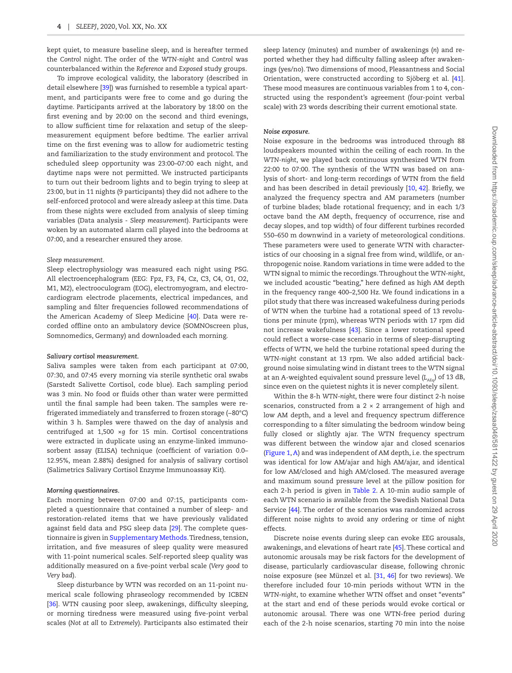kept quiet, to measure baseline sleep, and is hereafter termed the *Control* night. The order of the *WTN-night* and *Control* was counterbalanced within the *Reference* and *Exposed* study groups.

To improve ecological validity, the laboratory (described in detail elsewhere [[39](#page-12-22)]) was furnished to resemble a typical apartment, and participants were free to come and go during the daytime. Participants arrived at the laboratory by 18:00 on the first evening and by 20:00 on the second and third evenings, to allow sufficient time for relaxation and setup of the sleepmeasurement equipment before bedtime. The earlier arrival time on the first evening was to allow for audiometric testing and familiarization to the study environment and protocol. The scheduled sleep opportunity was 23:00–07:00 each night, and daytime naps were not permitted. We instructed participants to turn out their bedroom lights and to begin trying to sleep at 23:00, but in 11 nights (9 participants) they did not adhere to the self-enforced protocol and were already asleep at this time. Data from these nights were excluded from analysis of sleep timing variables (Data analysis - *Sleep measurement*). Participants were woken by an automated alarm call played into the bedrooms at 07:00, and a researcher ensured they arose.

#### *Sleep measurement.*

Sleep electrophysiology was measured each night using PSG. All electroencephalogram (EEG: Fpz, F3, F4, Cz, C3, C4, O1, O2, M1, M2), electrooculogram (EOG), electromyogram, and electrocardiogram electrode placements, electrical impedances, and sampling and filter frequencies followed recommendations of the American Academy of Sleep Medicine [\[40\]](#page-12-23). Data were recorded offline onto an ambulatory device (SOMNOscreen plus, Somnomedics, Germany) and downloaded each morning.

#### *Salivary cortisol measurement.*

Saliva samples were taken from each participant at 07:00, 07:30, and 07:45 every morning via sterile synthetic oral swabs (Sarstedt Salivette Cortisol, code blue). Each sampling period was 3 min. No food or fluids other than water were permitted until the final sample had been taken. The samples were refrigerated immediately and transferred to frozen storage (−80°C) within 3 h. Samples were thawed on the day of analysis and centrifuged at 1,500 ×*g* for 15 min. Cortisol concentrations were extracted in duplicate using an enzyme-linked immunosorbent assay (ELISA) technique (coefficient of variation 0.0– 12.95%, mean 2.88%) designed for analysis of salivary cortisol (Salimetrics Salivary Cortisol Enzyme Immunoassay Kit).

#### *Morning questionnaires.*

Each morning between 07:00 and 07:15, participants completed a questionnaire that contained a number of sleep- and restoration-related items that we have previously validated against field data and PSG sleep data [\[29\]](#page-12-12). The complete questionnaire is given in [Supplementary Methods.](http://academic.oup.com/sleep/article-lookup/doi/10.1093/sleep/zsaa046#supplementary-data) Tiredness, tension, irritation, and five measures of sleep quality were measured with 11-point numerical scales. Self-reported sleep quality was additionally measured on a five-point verbal scale (*Very good* to *Very bad*).

Sleep disturbance by WTN was recorded on an 11-point numerical scale following phraseology recommended by ICBEN [[36](#page-12-19)]. WTN causing poor sleep, awakenings, difficulty sleeping, or morning tiredness were measured using five-point verbal scales (*Not at all* to *Extremely*). Participants also estimated their sleep latency (minutes) and number of awakenings (*n*) and reported whether they had difficulty falling asleep after awakenings (yes/no). Two dimensions of mood, Pleasantness and Social Orientation, were constructed according to Sjöberg et al. [\[41\]](#page-12-24). These mood measures are continuous variables from 1 to 4, constructed using the respondent's agreement (four-point verbal scale) with 23 words describing their current emotional state.

#### *Noise exposure.*

Noise exposure in the bedrooms was introduced through 88 loudspeakers mounted within the ceiling of each room. In the *WTN-night*, we played back continuous synthesized WTN from 22:00 to 07:00. The synthesis of the WTN was based on analysis of short- and long-term recordings of WTN from the field and has been described in detail previously [[10](#page-11-4), [42\]](#page-12-25). Briefly, we analyzed the frequency spectra and AM parameters (number of turbine blades; blade rotational frequency; and in each 1/3 octave band the AM depth, frequency of occurrence, rise and decay slopes, and top width) of four different turbines recorded 550–650 m downwind in a variety of meteorological conditions. These parameters were used to generate WTN with characteristics of our choosing in a signal free from wind, wildlife, or anthropogenic noise. Random variations in time were added to the WTN signal to mimic the recordings. Throughout the *WTN-night*, we included acoustic "beating," here defined as high AM depth in the frequency range 400–2,500 Hz. We found indications in a pilot study that there was increased wakefulness during periods of WTN when the turbine had a rotational speed of 13 revolutions per minute (rpm), whereas WTN periods with 17 rpm did not increase wakefulness [[43\]](#page-12-26). Since a lower rotational speed could reflect a worse-case scenario in terms of sleep-disrupting effects of WTN, we held the turbine rotational speed during the *WTN-night* constant at 13 rpm. We also added artificial background noise simulating wind in distant trees to the WTN signal at an A-weighted equivalent sound pressure level ( $L_{ABC}$ ) of 13 dB, since even on the quietest nights it is never completely silent.

Within the 8-h *WTN-night*, there were four distinct 2-h noise scenarios, constructed from a  $2 \times 2$  arrangement of high and low AM depth, and a level and frequency spectrum difference corresponding to a filter simulating the bedroom window being fully closed or slightly ajar. The WTN frequency spectrum was different between the window ajar and closed scenarios [\(Figure 1, A\)](#page-4-0) and was independent of AM depth, i.e. the spectrum was identical for low AM/ajar and high AM/ajar, and identical for low AM/closed and high AM/closed. The measured average and maximum sound pressure level at the pillow position for each 2-h period is given in [Table 2.](#page-4-1) A 10-min audio sample of each WTN scenario is available from the Swedish National Data Service [\[44\]](#page-12-27). The order of the scenarios was randomized across different noise nights to avoid any ordering or time of night effects.

Discrete noise events during sleep can evoke EEG arousals, awakenings, and elevations of heart rate [\[45\]](#page-12-28). These cortical and autonomic arousals may be risk factors for the development of disease, particularly cardiovascular disease, following chronic noise exposure (see Münzel et al. [[31,](#page-12-14) [46](#page-12-29)] for two reviews). We therefore included four 10-min periods without WTN in the *WTN-night*, to examine whether WTN offset and onset "events" at the start and end of these periods would evoke cortical or autonomic arousal. There was one WTN-free period during each of the 2-h noise scenarios, starting 70 min into the noise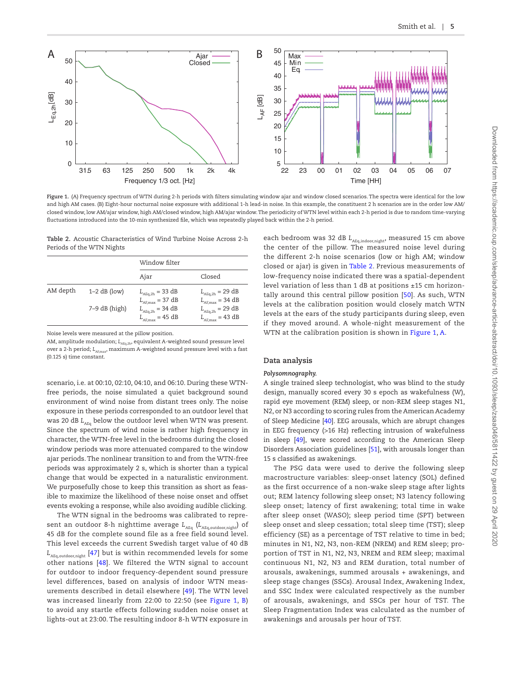

<span id="page-4-0"></span>**Figure 1.** (A) Frequency spectrum of WTN during 2-h periods with filters simulating window ajar and window closed scenarios. The spectra were identical for the low and high AM cases. (B) Eight-hour nocturnal noise exposure with additional 1-h lead-in noise. In this example, the constituent 2 h scenarios are in the order low AM/ closed window, low AM/ajar window, high AM/closed window, high AM/ajar window. The periodicity of WTN level within each 2-h period is due to random time-varying fluctuations introduced into the 10-min synthesized file, which was repeatedly played back within the 2-h period.

<span id="page-4-1"></span>**Table 2.** Acoustic Characteristics of Wind Turbine Noise Across 2-h Periods of the WTN Nights

|          |                 | Window filter                                                               |                                                                            |  |  |  |  |
|----------|-----------------|-----------------------------------------------------------------------------|----------------------------------------------------------------------------|--|--|--|--|
|          |                 | Ajar                                                                        | Closed                                                                     |  |  |  |  |
| AM depth | $1-2$ dB (low)  | $L_{\text{AEq,2h}} = 33 \text{ dB}$<br>$L_{\textsc{AF,max}} = 37~\text{dB}$ | $L_{\text{AEq,2h}}=29\ \text{dB}$<br>$L_{\textsc{AF,max}} = 34~\text{dB}$  |  |  |  |  |
|          | $7-9$ dB (high) | $L_{\text{AEq,2h}}=34\ \text{dB}$<br>$L_{\textsc{AF,max}}=45~\textmd{dB}$   | $L_{\text{AEq,2h}}=29\ \text{dB}$<br>$L_{\textsc{AF,max}}=43\ \textmd{dB}$ |  |  |  |  |

Noise levels were measured at the pillow position.

AM, amplitude modulation;  $L_{\text{AEG,2h}}$ , equivalent A-weighted sound pressure level over a 2-h period; L<sub>AFmax</sub>, maximum A-weighted sound pressure level with a fast (0.125 s) time constant.

scenario, i.e. at 00:10, 02:10, 04:10, and 06:10. During these WTNfree periods, the noise simulated a quiet background sound environment of wind noise from distant trees only. The noise exposure in these periods corresponded to an outdoor level that was 20 dB *L*<sub>AEq</sub> below the outdoor level when WTN was present. Since the spectrum of wind noise is rather high frequency in character, the WTN-free level in the bedrooms during the closed window periods was more attenuated compared to the window ajar periods. The nonlinear transition to and from the WTN-free periods was approximately 2 s, which is shorter than a typical change that would be expected in a naturalistic environment. We purposefully chose to keep this transition as short as feasible to maximize the likelihood of these noise onset and offset events evoking a response, while also avoiding audible clicking.

The WTN signal in the bedrooms was calibrated to represent an outdoor 8-h nighttime average  $L_{\text{AEG}}$  ( $L_{\text{AEG,outdoor,nigh}}$ ) of 45 dB for the complete sound file as a free field sound level. This level exceeds the current Swedish target value of 40 dB *L*AEq,outdoor,night [[47\]](#page-12-30) but is within recommended levels for some other nations [[48\]](#page-12-31). We filtered the WTN signal to account for outdoor to indoor frequency-dependent sound pressure level differences, based on analysis of indoor WTN measurements described in detail elsewhere [[49\]](#page-12-32). The WTN level was increased linearly from 22:00 to 22:50 (see [Figure 1](#page-4-0), [B](#page-4-0)) to avoid any startle effects following sudden noise onset at lights-out at 23:00. The resulting indoor 8-h WTN exposure in

each bedroom was 32 dB L<sub>AEq,indoor,night</sub>, measured 15 cm above the center of the pillow. The measured noise level during the different 2-h noise scenarios (low or high AM; window closed or ajar) is given in [Table 2.](#page-4-1) Previous measurements of low-frequency noise indicated there was a spatial-dependent level variation of less than 1 dB at positions ±15 cm horizontally around this central pillow position [[50](#page-12-33)]. As such, WTN levels at the calibration position would closely match WTN levels at the ears of the study participants during sleep, even if they moved around. A whole-night measurement of the WTN at the calibration position is shown in [Figure 1, A.](#page-4-0)

## **Data analysis**

#### *Polysomnography.*

A single trained sleep technologist, who was blind to the study design, manually scored every 30 s epoch as wakefulness (W), rapid eye movement (REM) sleep, or non-REM sleep stages N1, N2, or N3 according to scoring rules from the American Academy of Sleep Medicine [\[40\]](#page-12-23). EEG arousals, which are abrupt changes in EEG frequency (>16 Hz) reflecting intrusion of wakefulness in sleep [\[49\]](#page-12-32), were scored according to the American Sleep Disorders Association guidelines [\[51\]](#page-12-34), with arousals longer than 15 s classified as awakenings.

The PSG data were used to derive the following sleep macrostructure variables: sleep-onset latency (SOL) defined as the first occurrence of a non-wake sleep stage after lights out; REM latency following sleep onset; N3 latency following sleep onset; latency of first awakening; total time in wake after sleep onset (WASO); sleep period time (SPT) between sleep onset and sleep cessation; total sleep time (TST); sleep efficiency (SE) as a percentage of TST relative to time in bed; minutes in N1, N2, N3, non-REM (NREM) and REM sleep; proportion of TST in N1, N2, N3, NREM and REM sleep; maximal continuous N1, N2, N3 and REM duration, total number of arousals, awakenings, summed arousals + awakenings, and sleep stage changes (SSCs). Arousal Index, Awakening Index, and SSC Index were calculated respectively as the number of arousals, awakenings, and SSCs per hour of TST. The Sleep Fragmentation Index was calculated as the number of awakenings and arousals per hour of TST.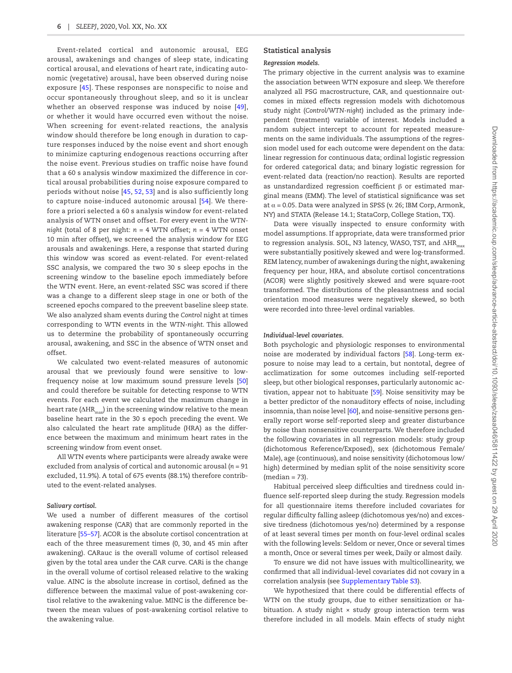Event-related cortical and autonomic arousal, EEG arousal, awakenings and changes of sleep state, indicating cortical arousal, and elevations of heart rate, indicating autonomic (vegetative) arousal, have been observed during noise exposure [[45\]](#page-12-28). These responses are nonspecific to noise and occur spontaneously throughout sleep, and so it is unclear whether an observed response was induced by noise [[49](#page-12-32)], or whether it would have occurred even without the noise. When screening for event-related reactions, the analysis window should therefore be long enough in duration to capture responses induced by the noise event and short enough to minimize capturing endogenous reactions occurring after the noise event. Previous studies on traffic noise have found that a 60 s analysis window maximized the difference in cortical arousal probabilities during noise exposure compared to periods without noise [[45](#page-12-28), [52](#page-12-35), [53](#page-12-36)] and is also sufficiently long to capture noise-induced autonomic arousal [\[54](#page-12-37)]. We therefore a priori selected a 60 s analysis window for event-related analysis of WTN onset and offset. For every event in the *WTNnight* (total of 8 per night: *n* = 4 WTN offset; *n* = 4 WTN onset 10 min after offset), we screened the analysis window for EEG arousals and awakenings. Here, a response that started during this window was scored as event-related. For event-related SSC analysis, we compared the two 30 s sleep epochs in the screening window to the baseline epoch immediately before the WTN event. Here, an event-related SSC was scored if there was a change to a different sleep stage in one or both of the screened epochs compared to the preevent baseline sleep state. We also analyzed sham events during the *Control* night at times corresponding to WTN events in the *WTN-night*. This allowed us to determine the probability of spontaneously occurring arousal, awakening, and SSC in the absence of WTN onset and offset.

We calculated two event-related measures of autonomic arousal that we previously found were sensitive to lowfrequency noise at low maximum sound pressure levels [\[50](#page-12-33)] and could therefore be suitable for detecting response to WTN events. For each event we calculated the maximum change in heart rate ( $\triangle$ HR<sub>max</sub>) in the screening window relative to the mean baseline heart rate in the 30 s epoch preceding the event. We also calculated the heart rate amplitude (HRA) as the difference between the maximum and minimum heart rates in the screening window from event onset.

All WTN events where participants were already awake were excluded from analysis of cortical and autonomic arousal (*n* = 91 excluded, 11.9%). A total of 675 events (88.1%) therefore contributed to the event-related analyses.

#### *Salivary cortisol.*

We used a number of different measures of the cortisol awakening response (CAR) that are commonly reported in the literature [55–57]. ACOR is the absolute cortisol concentration at each of the three measurement times (0, 30, and 45 min after awakening). CARauc is the overall volume of cortisol released given by the total area under the CAR curve. CARi is the change in the overall volume of cortisol released relative to the waking value. AINC is the absolute increase in cortisol, defined as the difference between the maximal value of post-awakening cortisol relative to the awakening value. MINC is the difference between the mean values of post-awakening cortisol relative to the awakening value.

## **Statistical analysis**

## *Regression models.*

The primary objective in the current analysis was to examine the association between WTN exposure and sleep. We therefore analyzed all PSG macrostructure, CAR, and questionnaire outcomes in mixed effects regression models with dichotomous study night (*Control*/*WTN-night*) included as the primary independent (treatment) variable of interest. Models included a random subject intercept to account for repeated measurements on the same individuals. The assumptions of the regression model used for each outcome were dependent on the data: linear regression for continuous data; ordinal logistic regression for ordered categorical data; and binary logistic regression for event-related data (reaction/no reaction). Results are reported as unstandardized regression coefficient β or estimated marginal means (EMM). The level of statistical significance was set at  $\alpha$  = 0.05. Data were analyzed in SPSS (v. 26; IBM Corp, Armonk, NY) and STATA (Release 14.1; StataCorp, College Station, TX).

Data were visually inspected to ensure conformity with model assumptions. If appropriate, data were transformed prior to regression analysis. SOL, N3 latency, WASO, TST, and ΔHR<sub>max</sub> were substantially positively skewed and were log-transformed. REM latency, number of awakenings during the night, awakening frequency per hour, HRA, and absolute cortisol concentrations (ACOR) were slightly positively skewed and were square-root transformed. The distributions of the pleasantness and social orientation mood measures were negatively skewed, so both were recorded into three-level ordinal variables.

#### *Individual-level covariates.*

Both psychologic and physiologic responses to environmental noise are moderated by individual factors [\[58\]](#page-13-0). Long-term exposure to noise may lead to a certain, but nontotal, degree of acclimatization for some outcomes including self-reported sleep, but other biological responses, particularly autonomic activation, appear not to habituate [[59](#page-13-1)]. Noise sensitivity may be a better predictor of the nonauditory effects of noise, including insomnia, than noise level [\[60\]](#page-13-2), and noise-sensitive persons generally report worse self-reported sleep and greater disturbance by noise than nonsensitive counterparts. We therefore included the following covariates in all regression models: study group (dichotomous Reference/Exposed), sex (dichotomous Female/ Male), age (continuous), and noise sensitivity (dichotomous low/ high) determined by median split of the noise sensitivity score (median = 73).

Habitual perceived sleep difficulties and tiredness could influence self-reported sleep during the study. Regression models for all questionnaire items therefore included covariates for regular difficulty falling asleep (dichotomous yes/no) and excessive tiredness (dichotomous yes/no) determined by a response of at least several times per month on four-level ordinal scales with the following levels: Seldom or never, Once or several times a month, Once or several times per week, Daily or almost daily.

To ensure we did not have issues with multicollinearity, we confirmed that all individual-level covariates did not covary in a correlation analysis (see [Supplementary Table S3\)](http://academic.oup.com/sleep/article-lookup/doi/10.1093/sleep/zsaa046#supplementary-data).

We hypothesized that there could be differential effects of WTN on the study groups, due to either sensitization or habituation. A study night  $\times$  study group interaction term was therefore included in all models. Main effects of study night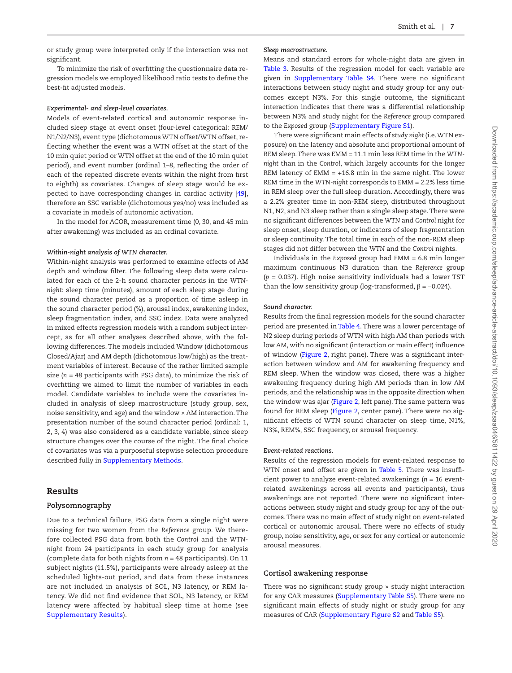or study group were interpreted only if the interaction was not significant.

To minimize the risk of overfitting the questionnaire data regression models we employed likelihood ratio tests to define the best-fit adjusted models.

#### *Experimental- and sleep-level covariates.*

Models of event-related cortical and autonomic response included sleep stage at event onset (four-level categorical: REM/ N1/N2/N3), event type (dichotomous WTN offset/WTN offset, reflecting whether the event was a WTN offset at the start of the 10 min quiet period or WTN offset at the end of the 10 min quiet period), and event number (ordinal 1–8, reflecting the order of each of the repeated discrete events within the night from first to eighth) as covariates. Changes of sleep stage would be expected to have corresponding changes in cardiac activity [\[49\]](#page-12-32), therefore an SSC variable (dichotomous yes/no) was included as a covariate in models of autonomic activation.

In the model for ACOR, measurement time (0, 30, and 45 min after awakening) was included as an ordinal covariate.

#### *Within-night analysis of WTN character.*

Within-night analysis was performed to examine effects of AM depth and window filter. The following sleep data were calculated for each of the 2-h sound character periods in the *WTNnight*: sleep time (minutes), amount of each sleep stage during the sound character period as a proportion of time asleep in the sound character period (%), arousal index, awakening index, sleep fragmentation index, and SSC index. Data were analyzed in mixed effects regression models with a random subject intercept, as for all other analyses described above, with the following differences. The models included Window (dichotomous Closed/Ajar) and AM depth (dichotomous low/high) as the treatment variables of interest. Because of the rather limited sample size (*n* = 48 participants with PSG data), to minimize the risk of overfitting we aimed to limit the number of variables in each model. Candidate variables to include were the covariates included in analysis of sleep macrostructure (study group, sex, noise sensitivity, and age) and the window × AM interaction. The presentation number of the sound character period (ordinal: 1, 2, 3, 4) was also considered as a candidate variable, since sleep structure changes over the course of the night. The final choice of covariates was via a purposeful stepwise selection procedure described fully in [Supplementary Methods.](http://academic.oup.com/sleep/article-lookup/doi/10.1093/sleep/zsaa046#supplementary-data)

## Results

## **Polysomnography**

Due to a technical failure, PSG data from a single night were missing for two women from the *Reference* group. We therefore collected PSG data from both the *Control* and the *WTNnight* from 24 participants in each study group for analysis (complete data for both nights from *n* = 48 participants). On 11 subject nights (11.5%), participants were already asleep at the scheduled lights-out period, and data from these instances are not included in analysis of SOL, N3 latency, or REM latency. We did not find evidence that SOL, N3 latency, or REM latency were affected by habitual sleep time at home (see [Supplementary Results](http://academic.oup.com/sleep/article-lookup/doi/10.1093/sleep/zsaa046#supplementary-data)).

#### *Sleep macrostructure.*

Means and standard errors for whole-night data are given in Table 3. Results of the regression model for each variable are given in [Supplementary Table S4](http://academic.oup.com/sleep/article-lookup/doi/10.1093/sleep/zsaa046#supplementary-data). There were no significant interactions between study night and study group for any outcomes except N3%. For this single outcome, the significant interaction indicates that there was a differential relationship between N3% and study night for the *Reference* group compared to the *Exposed* group ([Supplementary Figure S1\)](http://academic.oup.com/sleep/article-lookup/doi/10.1093/sleep/zsaa046#supplementary-data).

There were significant main effects of *study night* (i.e. WTN exposure) on the latency and absolute and proportional amount of REM sleep. There was EMM = 11.1 min less REM time in the *WTNnight* than in the *Control*, which largely accounts for the longer REM latency of EMM = +16.8 min in the same night. The lower REM time in the *WTN-night* corresponds to EMM = 2.2% less time in REM sleep over the full sleep duration. Accordingly, there was a 2.2% greater time in non-REM sleep, distributed throughout N1, N2, and N3 sleep rather than a single sleep stage. There were no significant differences between the *WTN* and *Control* night for sleep onset, sleep duration, or indicators of sleep fragmentation or sleep continuity. The total time in each of the non-REM sleep stages did not differ between the *WTN* and the *Control* nights.

Individuals in the *Exposed* group had EMM = 6.8 min longer maximum continuous N3 duration than the *Reference* group (*p* = 0.037). High noise sensitivity individuals had a lower TST than the low sensitivity group (log-transformed,  $β = -0.024$ ).

#### *Sound character.*

Results from the final regression models for the sound character period are presented in [Table 4](#page-7-1). There was a lower percentage of N2 sleep during periods of WTN with high AM than periods with low AM, with no significant (interaction or main effect) influence of window [\(Figure 2,](#page-8-0) right pane). There was a significant interaction between window and AM for awakening frequency and REM sleep. When the window was closed, there was a higher awakening frequency during high AM periods than in low AM periods, and the relationship was in the opposite direction when the window was ajar ([Figure 2,](#page-8-0) left pane). The same pattern was found for REM sleep ([Figure 2](#page-8-0), center pane). There were no significant effects of WTN sound character on sleep time, N1%, N3%, REM%, SSC frequency, or arousal frequency.

#### *Event-related reactions.*

Results of the regression models for event-related response to WTN onset and offset are given in [Table 5.](#page-8-1) There was insufficient power to analyze event-related awakenings (*n* = 16 eventrelated awakenings across all events and participants), thus awakenings are not reported. There were no significant interactions between study night and study group for any of the outcomes. There was no main effect of study night on event-related cortical or autonomic arousal. There were no effects of study group, noise sensitivity, age, or sex for any cortical or autonomic arousal measures.

## **Cortisol awakening response**

There was no significant study group × study night interaction for any CAR measures ([Supplementary Table S5\)](http://academic.oup.com/sleep/article-lookup/doi/10.1093/sleep/zsaa046#supplementary-data). There were no significant main effects of study night or study group for any measures of CAR ([Supplementary Figure S2](http://academic.oup.com/sleep/article-lookup/doi/10.1093/sleep/zsaa046#supplementary-data) and [Table S5](http://academic.oup.com/sleep/article-lookup/doi/10.1093/sleep/zsaa046#supplementary-data)).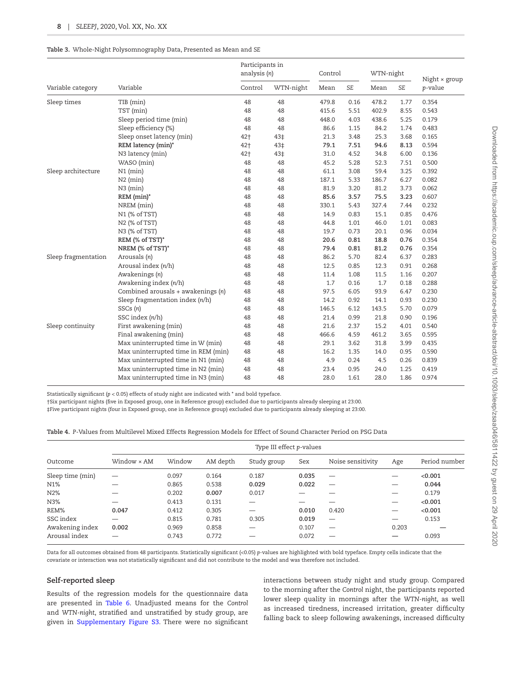#### <span id="page-7-0"></span>**Table 3.** Whole-Night Polysomnography Data, Presented as Mean and *SE*

|                     |                                        | Participants in<br>analysis $(n)$ |                 | Control |           | WTN-night |           | Night $\times$ group |
|---------------------|----------------------------------------|-----------------------------------|-----------------|---------|-----------|-----------|-----------|----------------------|
| Variable category   | Variable                               | Control                           | WTN-night       | Mean    | <b>SE</b> | Mean      | <b>SE</b> | p-value              |
| Sleep times         | TIB (min)                              | 48                                | 48              | 479.8   | 0.16      | 478.2     | 1.77      | 0.354                |
|                     | TST (min)                              | 48                                | 48              | 415.6   | 5.51      | 402.9     | 8.55      | 0.543                |
|                     | Sleep period time (min)                | 48                                | 48              | 448.0   | 4.03      | 438.6     | 5.25      | 0.179                |
|                     | Sleep efficiency (%)                   | 48                                | 48              | 86.6    | 1.15      | 84.2      | 1.74      | 0.483                |
|                     | Sleep onset latency (min)              | 42+                               | 43 <sup>‡</sup> | 21.3    | 3.48      | 25.3      | 3.68      | 0.165                |
|                     | REM latency (min)*                     | 42+                               | 43 <sup>‡</sup> | 79.1    | 7.51      | 94.6      | 8.13      | 0.594                |
|                     | N3 latency (min)                       | 42 <sub>†</sub>                   | 43 <sup>‡</sup> | 31.0    | 4.52      | 34.8      | 6.00      | 0.136                |
|                     | WASO (min)                             | 48                                | 48              | 45.2    | 5.28      | 52.3      | 7.51      | 0.500                |
| Sleep architecture  | $N1$ (min)                             | 48                                | 48              | 61.1    | 3.08      | 59.4      | 3.25      | 0.392                |
|                     | $N2$ (min)                             | 48                                | 48              | 187.1   | 5.33      | 186.7     | 6.27      | 0.082                |
|                     | $N3$ (min)                             | 48                                | 48              | 81.9    | 3.20      | 81.2      | 3.73      | 0.062                |
|                     | $REM (min)*$                           | 48                                | 48              | 85.6    | 3.57      | 75.5      | 3.23      | 0.607                |
|                     | NREM (min)                             | 48                                | 48              | 330.1   | 5.43      | 327.4     | 7.44      | 0.232                |
|                     | N1 (% of TST)                          | 48                                | 48              | 14.9    | 0.83      | 15.1      | 0.85      | 0.476                |
|                     | N2 (% of TST)                          | 48                                | 48              | 44.8    | 1.01      | 46.0      | 1.01      | 0.083                |
|                     | N <sub>3</sub> (% of TST)              | 48                                | 48              | 19.7    | 0.73      | 20.1      | 0.96      | 0.034                |
|                     | REM (% of TST)*                        | 48                                | 48              | 20.6    | 0.81      | 18.8      | 0.76      | 0.354                |
|                     | NREM (% of TST)*                       | 48                                | 48              | 79.4    | 0.81      | 81.2      | 0.76      | 0.354                |
| Sleep fragmentation | Arousals (n)                           | 48                                | 48              | 86.2    | 5.70      | 82.4      | 6.37      | 0.283                |
|                     | Arousal index $(n/h)$                  | 48                                | 48              | 12.5    | 0.85      | 12.3      | 0.91      | 0.268                |
|                     | Awakenings (n)                         | 48                                | 48              | 11.4    | 1.08      | 11.5      | 1.16      | 0.207                |
|                     | Awakening index (n/h)                  | 48                                | 48              | 1.7     | 0.16      | 1.7       | 0.18      | 0.288                |
|                     | Combined arousals $+$ awakenings $(n)$ | 48                                | 48              | 97.5    | 6.05      | 93.9      | 6.47      | 0.230                |
|                     | Sleep fragmentation index $(n/h)$      | 48                                | 48              | 14.2    | 0.92      | 14.1      | 0.93      | 0.230                |
|                     | SSCs (n)                               | 48                                | 48              | 146.5   | 6.12      | 143.5     | 5.70      | 0.079                |
|                     | SSC index $(n/h)$                      | 48                                | 48              | 21.4    | 0.99      | 21.8      | 0.90      | 0.196                |
| Sleep continuity    | First awakening (min)                  | 48                                | 48              | 21.6    | 2.37      | 15.2      | 4.01      | 0.540                |
|                     | Final awakening (min)                  | 48                                | 48              | 466.6   | 4.59      | 461.2     | 3.65      | 0.595                |
|                     | Max uninterrupted time in W (min)      | 48                                | 48              | 29.1    | 3.62      | 31.8      | 3.99      | 0.435                |
|                     | Max uninterrupted time in REM (min)    | 48                                | 48              | 16.2    | 1.35      | 14.0      | 0.95      | 0.590                |
|                     | Max uninterrupted time in N1 (min)     | 48                                | 48              | 4.9     | 0.24      | 4.5       | 0.26      | 0.839                |
|                     | Max uninterrupted time in N2 (min)     | 48                                | 48              | 23.4    | 0.95      | 24.0      | 1.25      | 0.419                |
|                     | Max uninterrupted time in N3 (min)     | 48                                | 48              | 28.0    | 1.61      | 28.0      | 1.86      | 0.974                |

Statistically significant (*p* < 0.05) effects of study night are indicated with \* and bold typeface.

†Six participant nights (five in Exposed group, one in Reference group) excluded due to participants already sleeping at 23:00.

‡Five participant nights (four in Exposed group, one in Reference group) excluded due to participants already sleeping at 23:00.

<span id="page-7-1"></span>

| Table 4. P-Values from Multilevel Mixed Effects Regression Models for Effect of Sound Character Period on PSG Data |  |
|--------------------------------------------------------------------------------------------------------------------|--|
|--------------------------------------------------------------------------------------------------------------------|--|

|                  | Type III effect p-values |        |          |             |       |                          |       |               |  |  |  |  |
|------------------|--------------------------|--------|----------|-------------|-------|--------------------------|-------|---------------|--|--|--|--|
| Outcome          | Window $\times$ AM       | Window | AM depth | Study group | Sex   | Noise sensitivity        | Age   | Period number |  |  |  |  |
| Sleep time (min) | -                        | 0.097  | 0.164    | 0.187       | 0.035 |                          |       | < 0.001       |  |  |  |  |
| N <sub>1</sub> % |                          | 0.865  | 0.538    | 0.029       | 0.022 |                          |       | 0.044         |  |  |  |  |
| N2%              |                          | 0.202  | 0.007    | 0.017       |       |                          | —     | 0.179         |  |  |  |  |
| N3%              |                          | 0.413  | 0.131    |             |       |                          |       | < 0.001       |  |  |  |  |
| REM%             | 0.047                    | 0.412  | 0.305    |             | 0.010 | 0.420                    |       | < 0.001       |  |  |  |  |
| SSC index        | –                        | 0.815  | 0.781    | 0.305       | 0.019 | $\overline{\phantom{0}}$ | –     | 0.153         |  |  |  |  |
| Awakening index  | 0.002                    | 0.969  | 0.858    |             | 0.107 |                          | 0.203 |               |  |  |  |  |
| Arousal index    | --                       | 0.743  | 0.772    |             | 0.072 |                          |       | 0.093         |  |  |  |  |

Data for all outcomes obtained from 48 participants. Statistically significant (<0.05) *p*-values are highlighted with bold typeface. Empty cells indicate that the covariate or interaction was not statistically significant and did not contribute to the model and was therefore not included.

## **Self-reported sleep**

Results of the regression models for the questionnaire data are presented in [Table 6.](#page-9-0) Unadjusted means for the *Control* and *WTN-night*, stratified and unstratified by study group, are given in [Supplementary Figure S3](http://academic.oup.com/sleep/article-lookup/doi/10.1093/sleep/zsaa046#supplementary-data). There were no significant interactions between study night and study group. Compared to the morning after the *Control* night, the participants reported lower sleep quality in mornings after the *WTN-night*, as well as increased tiredness, increased irritation, greater difficulty falling back to sleep following awakenings, increased difficulty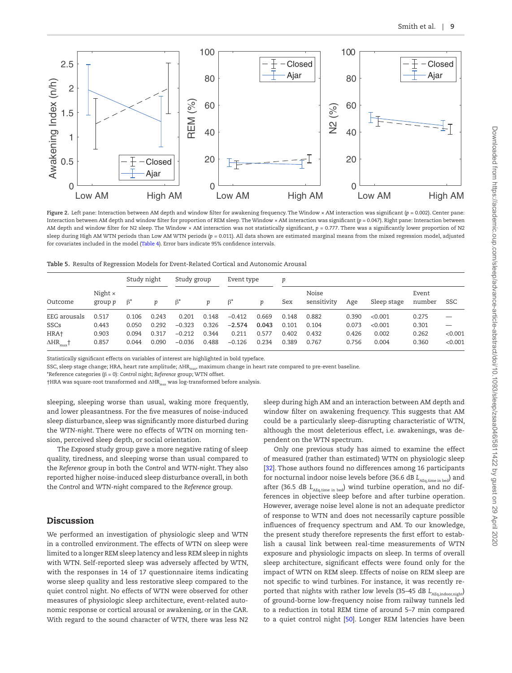

<span id="page-8-0"></span>Figure 2. Left pane: Interaction between AM depth and window filter for awakening frequency. The Window × AM interaction was significant (*p* = 0.002). Center pane: Interaction between AM depth and window filter for proportion of REM sleep. The Window × AM interaction was significant (*p* = 0.047). Right pane: Interaction between AM depth and window filter for N2 sleep. The Window × AM interaction was not statistically significant,  $p = 0.777$ . There was a significantly lower proportion of N2 sleep during High AM WTN periods than Low AM WTN periods (*p* = 0.011). All data shown are estimated marginal means from the mixed regression model, adjusted for covariates included in the model ([Table 4](#page-7-1)). Error bars indicate 95% confidence intervals.

<span id="page-8-1"></span>

|  |  |  |  |  |  | Table 5. Results of Regression Models for Event-Related Cortical and Autonomic Arousal |
|--|--|--|--|--|--|----------------------------------------------------------------------------------------|
|--|--|--|--|--|--|----------------------------------------------------------------------------------------|

|                     |                           | Study night |       | Study group |       | Event type |       | Ď     |                             |       |             |                 |         |
|---------------------|---------------------------|-------------|-------|-------------|-------|------------|-------|-------|-----------------------------|-------|-------------|-----------------|---------|
| Outcome             | Night $\times$<br>group p | $\beta^*$   |       | $\beta^*$   | p     | $\beta^*$  | p     | Sex   | <b>Noise</b><br>sensitivity | Age   | Sleep stage | Event<br>number | SSC     |
| EEG arousals        | 0.517                     | 0.106       | 0.243 | 0.201       | 0.148 | $-0.412$   | 0.669 | 0.148 | 0.882                       | 0.390 | < 0.001     | 0.275           |         |
| SSCs                | 0.443                     | 0.050       | 0.292 | $-0.323$    | 0.326 | $-2.574$   | 0.043 | 0.101 | 0.104                       | 0.073 | < 0.001     | 0.301           |         |
| HRA+                | 0.903                     | 0.094       | 0.317 | $-0.212$    | 0.344 | 0.211      | 0.577 | 0.402 | 0.432                       | 0.426 | 0.002       | 0.262           | < 0.001 |
| $\Delta HR_{max}$ † | 0.857                     | 0.044       | 0.090 | $-0.036$    | 0.488 | $-0.126$   | 0.234 | 0.389 | 0.767                       | 0.756 | 0.004       | 0.360           | < 0.001 |

Statistically significant effects on variables of interest are highlighted in bold typeface.

SSC, sleep stage change; HRA, heart rate amplitude; ΔHR<sub>max</sub>, maximum change in heart rate compared to pre-event baseline.

\*Reference categories (β = 0): *Control* night; *Reference* group; WTN offset.

†HRA was square-root transformed and ΔHR<sub>max</sub> was log-transformed before analysis.

sleeping, sleeping worse than usual, waking more frequently, and lower pleasantness. For the five measures of noise-induced sleep disturbance, sleep was significantly more disturbed during the *WTN-night*. There were no effects of WTN on morning tension, perceived sleep depth, or social orientation.

The *Exposed* study group gave a more negative rating of sleep quality, tiredness, and sleeping worse than usual compared to the *Reference* group in both the *Control* and *WTN-night*. They also reported higher noise-induced sleep disturbance overall, in both the *Control* and *WTN-night* compared to the *Reference* group.

## Discussion

We performed an investigation of physiologic sleep and WTN in a controlled environment. The effects of WTN on sleep were limited to a longer REM sleep latency and less REM sleep in nights with WTN. Self-reported sleep was adversely affected by WTN, with the responses in 14 of 17 questionnaire items indicating worse sleep quality and less restorative sleep compared to the quiet control night. No effects of WTN were observed for other measures of physiologic sleep architecture, event-related autonomic response or cortical arousal or awakening, or in the CAR. With regard to the sound character of WTN, there was less N2 sleep during high AM and an interaction between AM depth and window filter on awakening frequency. This suggests that AM could be a particularly sleep-disrupting characteristic of WTN, although the most deleterious effect, i.e. awakenings, was dependent on the WTN spectrum.

Only one previous study has aimed to examine the effect of measured (rather than estimated) WTN on physiologic sleep [\[32](#page-12-15)]. Those authors found no differences among 16 participants for nocturnal indoor noise levels before (36.6 dB  $L_{\text{AEq,time in bed}}$ ) and after (36.5 dB *L*<sub>AEq,time in bed</sub>) wind turbine operation, and no differences in objective sleep before and after turbine operation. However, average noise level alone is not an adequate predictor of response to WTN and does not necessarily capture possible influences of frequency spectrum and AM. To our knowledge, the present study therefore represents the first effort to establish a causal link between real-time measurements of WTN exposure and physiologic impacts on sleep. In terms of overall sleep architecture, significant effects were found only for the impact of WTN on REM sleep. Effects of noise on REM sleep are not specific to wind turbines. For instance, it was recently reported that nights with rather low levels (35–45 dB *L*<sub>AEq,indoor,night)</sub> of ground-borne low-frequency noise from railway tunnels led to a reduction in total REM time of around 5–7 min compared to a quiet control night [\[50](#page-12-33)]. Longer REM latencies have been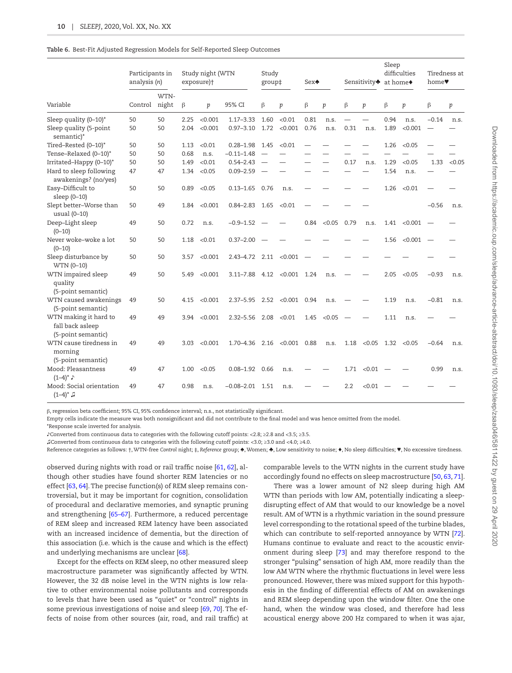|                                                                 | Participants in<br>analysis $(n)$ |      | Study night (WTN<br>exposure)+ |                  | Study<br>group‡    |                          |                             | Sex <sup>*</sup> |        | Sensitivity♣ at home◆ |        | Sleep<br>difficulties |                    | Tiredness at<br>home♥ |        |
|-----------------------------------------------------------------|-----------------------------------|------|--------------------------------|------------------|--------------------|--------------------------|-----------------------------|------------------|--------|-----------------------|--------|-----------------------|--------------------|-----------------------|--------|
| Variable                                                        | Control night                     | WTN- | $\beta$                        | $\boldsymbol{p}$ | 95% CI             | β                        | p                           | β                | p      | β                     | p      | β                     | p                  | $\beta$               | p      |
| Sleep quality $(0-10)^*$                                        | 50                                | 50   | 2.25                           | < 0.001          | $1.17 - 3.33$      | 1.60                     | < 0.01                      | 0.81             | n.s.   |                       |        | 0.94                  | n.s.               | $-0.14$               | n.s.   |
| Sleep quality (5-point<br>semantic)*                            | 50                                | 50   | 2.04                           | < 0.001          | $0.97 - 3.10$      | 1.72                     | < 0.001                     | 0.76             | n.s.   | 0.31                  | n.s.   | 1.89                  | < 0.001            |                       |        |
| Tired-Rested (0-10)*                                            | 50                                | 50   | 1.13                           | < 0.01           | $0.28 - 1.98$      | 1.45                     | < 0.01                      |                  |        |                       |        | 1.26                  | < 0.05             |                       |        |
| Tense-Relaxed (0-10)*                                           | 50                                | 50   | 0.68                           | n.s.             | $-0.11 - 1.48$     |                          |                             |                  |        |                       |        |                       |                    |                       |        |
| Irritated-Happy (0-10)*                                         | 50                                | 50   | 1.49                           | < 0.01           | $0.54 - 2.43$      | $\overline{\phantom{a}}$ |                             |                  |        | 0.17                  | n.s.   | 1.29                  | < 0.05             | 1.33                  | < 0.05 |
| Hard to sleep following<br>awakenings? (no/yes)                 | 47                                | 47   | 1.34                           | < 0.05           | $0.09 - 2.59$      |                          |                             |                  |        |                       |        | 1.54                  | n.s.               |                       |        |
| Easy-Difficult to<br>sleep (0-10)                               | 50                                | 50   | 0.89                           | < 0.05           | $0.13 - 1.65$      | 0.76                     | n.s.                        |                  |        |                       |        | 1.26                  | < 0.01             |                       |        |
| Slept better-Worse than<br>usual $(0-10)$                       | 50                                | 49   | 1.84                           | < 0.001          | $0.84 - 2.83$      | 1.65                     | < 0.01                      |                  |        |                       |        |                       |                    | $-0.56$               | n.s.   |
| Deep-Light sleep<br>$(0 - 10)$                                  | 49                                | 50   | 0.72                           | n.s.             | $-0.9 - 1.52$      |                          |                             | 0.84             | < 0.05 | 0.79                  | n.s.   |                       | $1.41 \le 0.001$ – |                       |        |
| Never woke-woke a lot<br>$(0 - 10)$                             | 50                                | 50   | 1.18                           | < 0.01           | $0.37 - 2.00$      |                          |                             |                  |        |                       |        | 1.56                  | < 0.001            |                       |        |
| Sleep disturbance by<br>WTN (0-10)                              | 50                                | 50   | 3.57                           | < 0.001          | $2.43 - 4.72$ 2.11 |                          | < 0.001                     |                  |        |                       |        |                       |                    |                       |        |
| WTN impaired sleep<br>quality<br>(5-point semantic)             | 49                                | 50   | 5.49                           | < 0.001          | $3.11 - 7.88$      |                          | $4.12 \le 0.001 \quad 1.24$ |                  | n.s.   |                       |        | 2.05                  | < 0.05             | $-0.93$               | n.s.   |
| WTN caused awakenings<br>(5-point semantic)                     | 49                                | 50   | 4.15                           | < 0.001          | $2.37 - 5.95$      | 2.52                     | $<$ 0.001                   | 0.94             | n.s.   |                       |        | 1.19                  | n.s.               | $-0.81$               | n.s.   |
| WTN making it hard to<br>fall back asleep<br>(5-point semantic) | 49                                | 49   | 3.94                           | < 0.001          | $2.32 - 5.56$      | 2.08                     | < 0.01                      | 1.45             | < 0.05 |                       |        | 1.11                  | n.s.               |                       |        |
| WTN cause tiredness in<br>morning                               | 49                                | 49   | 3.03                           | < 0.001          | 1.70-4.36          | 2.16                     | < 0.001                     | 0.88             | n.s.   | 1.18                  | < 0.05 |                       | $1.32 \le 0.05$    | $-0.64$               | n.s.   |
| (5-point semantic)<br>Mood: Pleasantness<br>$(1-4)^*$           | 49                                | 47   | 1.00                           | < 0.05           | $0.08 - 1.92$      | 0.66                     | n.s.                        |                  |        | 1.71                  | < 0.01 |                       |                    | 0.99                  | n.s.   |
| Mood: Social orientation<br>$(1-4)^*$ $\Box$                    | 49                                | 47   | 0.98                           | n.s.             | $-0.08 - 2.01$     | 1.51                     | n.s.                        |                  |        | 2.2                   | < 0.01 |                       |                    |                       |        |

<span id="page-9-0"></span>

| Table 6. Best-Fit Adjusted Regression Models for Self-Reported Sleep Outcomes |  |  |
|-------------------------------------------------------------------------------|--|--|
|-------------------------------------------------------------------------------|--|--|

β, regression beta coefficient; 95% CI, 95% confidence interval; n.s., not statistically significant.

Empty cells indicate the measure was both nonsignificant and did not contribute to the final model and was hence omitted from the model.

\*Response scale inverted for analysis.

♪Converted from continuous data to categories with the following cutoff points: <2.8; ≥2.8 and <3.5; ≥3.5.

♫Converted from continuous data to categories with the following cutoff points: <3.0; ≥3.0 and <4.0; ≥4.0.

Reference categories as follows: †, WTN-free *Control* night; ‡, *Reference* group; ♠, Women; ♣, Low sensitivity to noise; ♦, No sleep difficulties; ♥, No excessive tiredness.

observed during nights with road or rail traffic noise [[61](#page-13-3), [62\]](#page-13-4), although other studies have found shorter REM latencies or no effect [[63](#page-13-5), [64](#page-13-6)]. The precise function(s) of REM sleep remains controversial, but it may be important for cognition, consolidation of procedural and declarative memories, and synaptic pruning and strengthening [65–67]. Furthermore, a reduced percentage of REM sleep and increased REM latency have been associated with an increased incidence of dementia, but the direction of this association (i.e. which is the cause and which is the effect) and underlying mechanisms are unclear [[68](#page-13-7)].

Except for the effects on REM sleep, no other measured sleep macrostructure parameter was significantly affected by WTN. However, the 32 dB noise level in the WTN nights is low relative to other environmental noise pollutants and corresponds to levels that have been used as "quiet" or "control" nights in some previous investigations of noise and sleep [[69](#page-13-8), [70](#page-13-9)]. The effects of noise from other sources (air, road, and rail traffic) at comparable levels to the WTN nights in the current study have accordingly found no effects on sleep macrostructure [[50,](#page-12-33) [63,](#page-13-5) [71\]](#page-13-10).

There was a lower amount of N2 sleep during high AM WTN than periods with low AM, potentially indicating a sleepdisrupting effect of AM that would to our knowledge be a novel result. AM of WTN is a rhythmic variation in the sound pressure level corresponding to the rotational speed of the turbine blades, which can contribute to self-reported annoyance by WTN [\[72\]](#page-13-11). Humans continue to evaluate and react to the acoustic environment during sleep [\[73\]](#page-13-12) and may therefore respond to the stronger "pulsing" sensation of high AM, more readily than the low AM WTN where the rhythmic fluctuations in level were less pronounced. However, there was mixed support for this hypothesis in the finding of differential effects of AM on awakenings and REM sleep depending upon the window filter. One the one hand, when the window was closed, and therefore had less acoustical energy above 200 Hz compared to when it was ajar,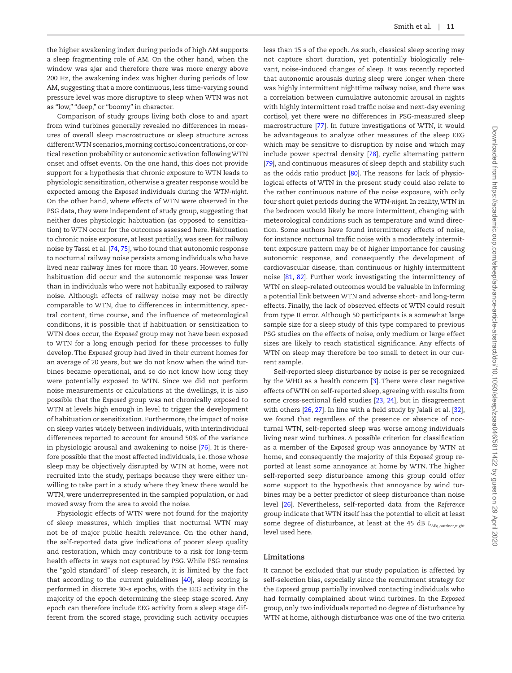the higher awakening index during periods of high AM supports a sleep fragmenting role of AM. On the other hand, when the window was ajar and therefore there was more energy above 200 Hz, the awakening index was higher during periods of low AM, suggesting that a more continuous, less time-varying sound pressure level was more disruptive to sleep when WTN was not as "low," "deep," or "boomy" in character.

Comparison of study groups living both close to and apart from wind turbines generally revealed no differences in measures of overall sleep macrostructure or sleep structure across different WTN scenarios, morning cortisol concentrations, or cortical reaction probability or autonomic activation following WTN onset and offset events. On the one hand, this does not provide support for a hypothesis that chronic exposure to WTN leads to physiologic sensitization, otherwise a greater response would be expected among the *Exposed* individuals during the *WTN-night*. On the other hand, where effects of WTN were observed in the PSG data, they were independent of study group, suggesting that neither does physiologic habituation (as opposed to sensitization) to WTN occur for the outcomes assessed here. Habituation to chronic noise exposure, at least partially, was seen for railway noise by Tassi et al. [[74,](#page-13-13) [75\]](#page-13-14), who found that autonomic response to nocturnal railway noise persists among individuals who have lived near railway lines for more than 10 years. However, some habituation did occur and the autonomic response was lower than in individuals who were not habitually exposed to railway noise. Although effects of railway noise may not be directly comparable to WTN, due to differences in intermittency, spectral content, time course, and the influence of meteorological conditions, it is possible that if habituation or sensitization to WTN does occur, the *Exposed* group may not have been exposed to WTN for a long enough period for these processes to fully develop. The *Exposed* group had lived in their current homes for an average of 20 years, but we do not know when the wind turbines became operational, and so do not know how long they were potentially exposed to WTN. Since we did not perform noise measurements or calculations at the dwellings, it is also possible that the *Exposed* group was not chronically exposed to WTN at levels high enough in level to trigger the development of habituation or sensitization. Furthermore, the impact of noise on sleep varies widely between individuals, with interindividual differences reported to account for around 50% of the variance in physiologic arousal and awakening to noise [[76](#page-13-15)]. It is therefore possible that the most affected individuals, i.e. those whose sleep may be objectively disrupted by WTN at home, were not recruited into the study, perhaps because they were either unwilling to take part in a study where they knew there would be WTN, were underrepresented in the sampled population, or had moved away from the area to avoid the noise.

Physiologic effects of WTN were not found for the majority of sleep measures, which implies that nocturnal WTN may not be of major public health relevance. On the other hand, the self-reported data give indications of poorer sleep quality and restoration, which may contribute to a risk for long-term health effects in ways not captured by PSG. While PSG remains the "gold standard" of sleep research, it is limited by the fact that according to the current guidelines [[40\]](#page-12-23), sleep scoring is performed in discrete 30-s epochs, with the EEG activity in the majority of the epoch determining the sleep stage scored. Any epoch can therefore include EEG activity from a sleep stage different from the scored stage, providing such activity occupies less than 15 s of the epoch. As such, classical sleep scoring may not capture short duration, yet potentially biologically relevant, noise-induced changes of sleep. It was recently reported that autonomic arousals during sleep were longer when there was highly intermittent nighttime railway noise, and there was a correlation between cumulative autonomic arousal in nights with highly intermittent road traffic noise and next-day evening cortisol, yet there were no differences in PSG-measured sleep macrostructure [\[77](#page-13-16)]. In future investigations of WTN, it would be advantageous to analyze other measures of the sleep EEG which may be sensitive to disruption by noise and which may include power spectral density [\[78\]](#page-13-17), cyclic alternating pattern [\[79](#page-13-18)], and continuous measures of sleep depth and stability such as the odds ratio product [[80](#page-13-19)]. The reasons for lack of physiological effects of WTN in the present study could also relate to the rather continuous nature of the noise exposure, with only four short quiet periods during the *WTN-night*. In reality, WTN in the bedroom would likely be more intermittent, changing with meteorological conditions such as temperature and wind direction. Some authors have found intermittency effects of noise, for instance nocturnal traffic noise with a moderately intermittent exposure pattern may be of higher importance for causing autonomic response, and consequently the development of cardiovascular disease, than continuous or highly intermittent noise [\[81](#page-13-20), [82\]](#page-13-21). Further work investigating the intermittency of WTN on sleep-related outcomes would be valuable in informing a potential link between WTN and adverse short- and long-term effects. Finally, the lack of observed effects of WTN could result from type II error. Although 50 participants is a somewhat large sample size for a sleep study of this type compared to previous PSG studies on the effects of noise, only medium or large effect sizes are likely to reach statistical significance. Any effects of WTN on sleep may therefore be too small to detect in our current sample.

Self-reported sleep disturbance by noise is per se recognized by the WHO as a health concern [[3\]](#page-11-2). There were clear negative effects of WTN on self-reported sleep, agreeing with results from some cross-sectional field studies [\[23,](#page-12-38) [24\]](#page-12-39), but in disagreement with others [\[26](#page-12-9), [27\]](#page-12-10). In line with a field study by Jalali et al. [\[32\]](#page-12-15), we found that regardless of the presence or absence of nocturnal WTN, self-reported sleep was worse among individuals living near wind turbines. A possible criterion for classification as a member of the *Exposed* group was annoyance by WTN at home, and consequently the majority of this *Exposed* group reported at least some annoyance at home by WTN. The higher self-reported seep disturbance among this group could offer some support to the hypothesis that annoyance by wind turbines may be a better predictor of sleep disturbance than noise level [\[26](#page-12-9)]. Nevertheless, self-reported data from the *Reference* group indicate that WTN itself has the potential to elicit at least some degree of disturbance, at least at the 45 dB *L*<sub>AEq,outdoor,night</sub> level used here.

## **Limitations**

It cannot be excluded that our study population is affected by self-selection bias, especially since the recruitment strategy for the *Exposed* group partially involved contacting individuals who had formally complained about wind turbines. In the *Exposed* group, only two individuals reported no degree of disturbance by WTN at home, although disturbance was one of the two criteria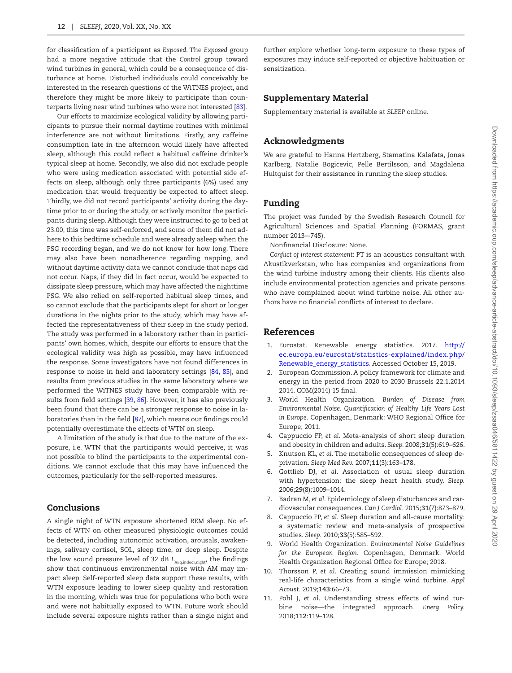for classification of a participant as *Exposed*. The *Exposed* group had a more negative attitude that the *Control* group toward wind turbines in general, which could be a consequence of disturbance at home. Disturbed individuals could conceivably be interested in the research questions of the WiTNES project, and therefore they might be more likely to participate than counterparts living near wind turbines who were not interested [[83](#page-13-22)].

Our efforts to maximize ecological validity by allowing participants to pursue their normal daytime routines with minimal interference are not without limitations. Firstly, any caffeine consumption late in the afternoon would likely have affected sleep, although this could reflect a habitual caffeine drinker's typical sleep at home. Secondly, we also did not exclude people who were using medication associated with potential side effects on sleep, although only three participants (6%) used any medication that would frequently be expected to affect sleep. Thirdly, we did not record participants' activity during the daytime prior to or during the study, or actively monitor the participants during sleep. Although they were instructed to go to bed at 23:00, this time was self-enforced, and some of them did not adhere to this bedtime schedule and were already asleep when the PSG recording began, and we do not know for how long. There may also have been nonadherence regarding napping, and without daytime activity data we cannot conclude that naps did not occur. Naps, if they did in fact occur, would be expected to dissipate sleep pressure, which may have affected the nighttime PSG. We also relied on self-reported habitual sleep times, and so cannot exclude that the participants slept for short or longer durations in the nights prior to the study, which may have affected the representativeness of their sleep in the study period. The study was performed in a laboratory rather than in participants' own homes, which, despite our efforts to ensure that the ecological validity was high as possible, may have influenced the response. Some investigators have not found differences in response to noise in field and laboratory settings [[84](#page-13-23), [85](#page-13-24)], and results from previous studies in the same laboratory where we performed the WiTNES study have been comparable with results from field settings [\[39](#page-12-22), [86\]](#page-13-25). However, it has also previously been found that there can be a stronger response to noise in laboratories than in the field [[87\]](#page-13-26), which means our findings could potentially overestimate the effects of WTN on sleep.

A limitation of the study is that due to the nature of the exposure, i.e. WTN that the participants would perceive, it was not possible to blind the participants to the experimental conditions. We cannot exclude that this may have influenced the outcomes, particularly for the self-reported measures.

## Conclusions

A single night of WTN exposure shortened REM sleep. No effects of WTN on other measured physiologic outcomes could be detected, including autonomic activation, arousals, awakenings, salivary cortisol, SOL, sleep time, or deep sleep. Despite the low sound pressure level of 32 dB *L*<sub>AEq,indoor,night</sub>, the findings show that continuous environmental noise with AM may impact sleep. Self-reported sleep data support these results, with WTN exposure leading to lower sleep quality and restoration in the morning, which was true for populations who both were and were not habitually exposed to WTN. Future work should include several exposure nights rather than a single night and

further explore whether long-term exposure to these types of exposures may induce self-reported or objective habituation or sensitization.

## Supplementary Material

Supplementary material is available at *SLEEP* online.

## Acknowledgments

We are grateful to Hanna Hertzberg, Stamatina Kalafata, Jonas Karlberg, Natalie Bogicevic, Pelle Bertilsson, and Magdalena Hultquist for their assistance in running the sleep studies.

## Funding

The project was funded by the Swedish Research Council for Agricultural Sciences and Spatial Planning (FORMAS, grant number 2013–-745).

Nonfinancial Disclosure: None.

*Conflict of interest statement*: PT is an acoustics consultant with Akustikverkstan, who has companies and organizations from the wind turbine industry among their clients. His clients also include environmental protection agencies and private persons who have complained about wind turbine noise. All other authors have no financial conflicts of interest to declare.

## References

- <span id="page-11-0"></span>1. Eurostat. Renewable energy statistics. 2017. [http://](http://ec.europa.eu/eurostat/statistics-explained/index.php/Renewable_energy_statistics) [ec.europa.eu/eurostat/statistics-explained/index.php/](http://ec.europa.eu/eurostat/statistics-explained/index.php/Renewable_energy_statistics) [Renewable\\_energy\\_statistics](http://ec.europa.eu/eurostat/statistics-explained/index.php/Renewable_energy_statistics). Accessed October 15, 2019.
- <span id="page-11-1"></span>2. European Commission. A policy framework for climate and energy in the period from 2020 to 2030 Brussels 22.1.2014 2014. COM(2014) 15 final.
- <span id="page-11-2"></span>3. World Health Organization. *Burden of Disease from Environmental Noise. Quantification of Healthy Life Years Lost in Europe.* Copenhagen, Denmark: WHO Regional Office for Europe; 2011.
- 4. Cappuccio FP, *et al*. Meta-analysis of short sleep duration and obesity in children and adults. *Sleep.* 2008;**31**(5):619–626.
- 5. Knutson KL, *et al*. The metabolic consequences of sleep deprivation. *Sleep Med Rev.* 2007;**11**(3):163–178.
- 6. Gottlieb DJ, *et al*. Association of usual sleep duration with hypertension: the sleep heart health study. *Sleep.* 2006;**29**(8):1009–1014.
- 7. Badran M, *et al*. Epidemiology of sleep disturbances and cardiovascular consequences. *Can J Cardiol.* 2015;**31**(7):873–879.
- 8. Cappuccio FP, *et al*. Sleep duration and all-cause mortality: a systematic review and meta-analysis of prospective studies. *Sleep.* 2010;**33**(5):585–592.
- <span id="page-11-3"></span>9. World Health Organization. *Environmental Noise Guidelines for the European Region.* Copenhagen, Denmark: World Health Organization Regional Office for Europe; 2018.
- <span id="page-11-4"></span>10. Thorsson P, *et al*. Creating sound immission mimicking real-life characteristics from a single wind turbine. *Appl Acoust.* 2019;**143**:66–73.
- 11. Pohl J, *et al*. Understanding stress effects of wind turbine noise—the integrated approach. *Energ Policy.* 2018;**112**:119–128.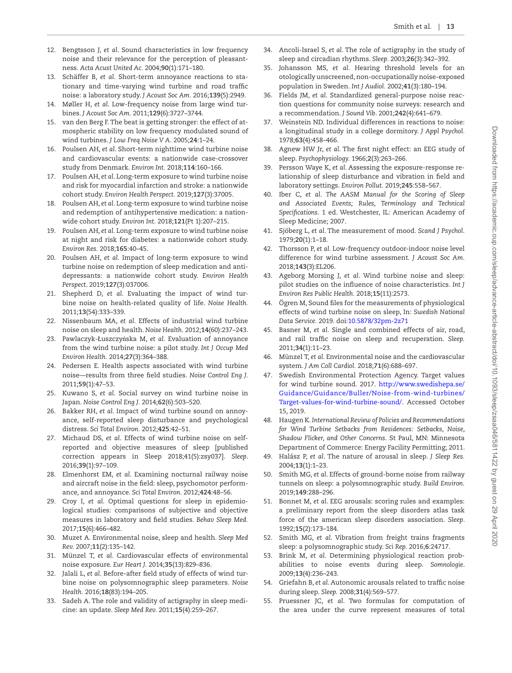12. Bengtsson J, *et al*. Sound characteristics in low frequency noise and their relevance for the perception of pleasantness. *Acta Acust United Ac.* 2004;**90**(1):171–180.

13. Schäffer B, *et al*. Short-term annoyance reactions to stationary and time-varying wind turbine and road traffic noise: a laboratory study. *J Acoust Soc Am.* 2016;**139**(5):2949.

<span id="page-12-0"></span>14. Møller H, *et al*. Low-frequency noise from large wind turbines. *J Acoust Soc Am.* 2011;**129**(6):3727–3744.

<span id="page-12-1"></span>15. van den Berg F. The beat is getting stronger: the effect of atmospheric stability on low frequency modulated sound of wind turbines. *J Low Freq Noise V A.* 2005;**24**:1–24.

- <span id="page-12-2"></span>16. Poulsen AH, *et al*. Short-term nighttime wind turbine noise and cardiovascular events: a nationwide case-crossover study from Denmark. *Environ Int.* 2018;**114**:160–166.
- <span id="page-12-3"></span>17. Poulsen AH, *et al*. Long-term exposure to wind turbine noise and risk for myocardial infarction and stroke: a nationwide cohort study. *Environ Health Perspect.* 2019;**127**(3):37005.
- <span id="page-12-4"></span>18. Poulsen AH, *et al*. Long-term exposure to wind turbine noise and redemption of antihypertensive medication: a nationwide cohort study. *Environ Int.* 2018;**121**(Pt 1):207–215.
- <span id="page-12-5"></span>19. Poulsen AH, *et al*. Long-term exposure to wind turbine noise at night and risk for diabetes: a nationwide cohort study. *Environ Res.* 2018;**165**:40–45.
- <span id="page-12-6"></span>20. Poulsen AH, *et al*. Impact of long-term exposure to wind turbine noise on redemption of sleep medication and antidepressants: a nationwide cohort study. *Environ Health Perspect*. 2019;**127**(3):037006.
- <span id="page-12-7"></span>21. Shepherd D, *et al*. Evaluating the impact of wind turbine noise on health-related quality of life. *Noise Health.* 2011;**13**(54):333–339.
- <span id="page-12-8"></span>22. Nissenbaum MA, *et al*. Effects of industrial wind turbine noise on sleep and health. *Noise Health.* 2012;**14**(60):237–243.
- <span id="page-12-38"></span>23. Pawlaczyk-Łuszczyńska M, *et al*. Evaluation of annoyance from the wind turbine noise: a pilot study. *Int J Occup Med Environ Health.* 2014;**27**(3):364–388.
- <span id="page-12-39"></span>24. Pedersen E. Health aspects associated with wind turbine noise—results from three field studies. *Noise Control Eng J.* 2011;**59**(1):47–53.
- 25. Kuwano S, *et al*. Social survey on wind turbine noise in Japan. *Noise Control Eng J.* 2014;**62**(6):503–520.
- <span id="page-12-9"></span>26. Bakker RH, *et al*. Impact of wind turbine sound on annoyance, self-reported sleep disturbance and psychological distress. *Sci Total Environ.* 2012;**425**:42–51.
- <span id="page-12-10"></span>27. Michaud DS, *et al*. Effects of wind turbine noise on selfreported and objective measures of sleep [published correction appears in Sleep 2018;41(5):zsy037]. *Sleep*. 2016;**39**(1):97–109.
- <span id="page-12-11"></span>28. Elmenhorst EM, *et al*. Examining nocturnal railway noise and aircraft noise in the field: sleep, psychomotor performance, and annoyance. *Sci Total Environ.* 2012;**424**:48–56.
- <span id="page-12-12"></span>29. Croy I, *et al*. Optimal questions for sleep in epidemiological studies: comparisons of subjective and objective measures in laboratory and field studies. *Behav Sleep Med.* 2017;**15**(6):466–482.
- <span id="page-12-13"></span>30. Muzet A. Environmental noise, sleep and health. *Sleep Med Rev.* 2007;**11**(2):135–142.
- <span id="page-12-14"></span>31. Münzel T, *et al*. Cardiovascular effects of environmental noise exposure. *Eur Heart J.* 2014;**35**(13):829–836.
- <span id="page-12-15"></span>32. Jalali L, *et al*. Before-after field study of effects of wind turbine noise on polysomnographic sleep parameters. *Noise Health.* 2016;**18**(83):194–205.
- <span id="page-12-16"></span>33. Sadeh A. The role and validity of actigraphy in sleep medicine: an update. *Sleep Med Rev.* 2011;**15**(4):259–267.
- <span id="page-12-17"></span>34. Ancoli-Israel S, *et al*. The role of actigraphy in the study of sleep and circadian rhythms. *Sleep.* 2003;**26**(3):342–392.
- <span id="page-12-18"></span>35. Johansson MS, *et al*. Hearing threshold levels for an otologically unscreened, non-occupationally noise-exposed population in Sweden. *Int J Audiol.* 2002;**41**(3):180–194.
- <span id="page-12-19"></span>36. Fields JM, *et al*. Standardized general-purpose noise reaction questions for community noise surveys: research and a recommendation. *J Sound Vib*. 2001;**242**(4):641–679.
- <span id="page-12-20"></span>37. Weinstein ND. Individual differences in reactions to noise: a longitudinal study in a college dormitory. *J Appl Psychol.* 1978;**63**(4):458–466.
- <span id="page-12-21"></span>38. Agnew HW Jr, *et al*. The first night effect: an EEG study of sleep. *Psychophysiology.* 1966;**2**(3):263–266.
- <span id="page-12-22"></span>39. Persson Waye K, *et al*. Assessing the exposure-response relationship of sleep disturbance and vibration in field and laboratory settings. *Environ Pollut.* 2019;**245**:558–567.
- <span id="page-12-23"></span>40. Iber C, *et al*. *The AASM Manual for the Scoring of Sleep and Associated Events; Rules, Terminology and Technical Specifications*. 1 ed. Westchester, IL: American Academy of Sleep Medicine; 2007.
- <span id="page-12-24"></span>41. Sjöberg L, *et al*. The measurement of mood. *Scand J Psychol.* 1979;**20**(1):1–18.
- <span id="page-12-25"></span>42. Thorsson P, *et al*. Low-frequency outdoor-indoor noise level difference for wind turbine assessment. *J Acoust Soc Am.* 2018;**143**(3):EL206.
- <span id="page-12-26"></span>43. Ageborg Morsing J, *et al*. Wind turbine noise and sleep: pilot studies on the influence of noise characteristics. *Int J Environ Res Public Health.* 2018;**15**(11):2573.
- <span id="page-12-27"></span>44. Ögren M, Sound files for the measurements of physiological effects of wind turbine noise on sleep, In: *Swedish National Data Service.* 2019. doi[:10.5878/32pm-2z71](https://doi.org/10.5878/32pm-2z71)
- <span id="page-12-28"></span>45. Basner M, *et al*. Single and combined effects of air, road, and rail traffic noise on sleep and recuperation. *Sleep.* 2011;**34**(1):11–23.
- <span id="page-12-29"></span>46. Münzel T, *et al*. Environmental noise and the cardiovascular system. *J Am Coll Cardiol.* 2018;**71**(6):688–697.
- <span id="page-12-30"></span>47. Swedish Environmental Protection Agency. Target values for wind turbine sound. 2017. [http://www.swedishepa.se/](http://www.swedishepa.se/Guidance/Guidance/Buller/Noise-from-wind-turbines/Target-values-for-wind-turbine-sound/) [Guidance/Guidance/Buller/Noise-from-wind-turbines/](http://www.swedishepa.se/Guidance/Guidance/Buller/Noise-from-wind-turbines/Target-values-for-wind-turbine-sound/) [Target-values-for-wind-turbine-sound/.](http://www.swedishepa.se/Guidance/Guidance/Buller/Noise-from-wind-turbines/Target-values-for-wind-turbine-sound/) Accessed October 15, 2019.
- <span id="page-12-31"></span>48. Haugen K. *International Review of Policies and Recommendations for Wind Turbine Setbacks from Residences: Setbacks, Noise, Shadow Flicker, and Other Concerns.* St Paul, MN: Minnesota Department of Commerce: Energy Facility Permitting; 2011.
- <span id="page-12-32"></span>49. Halász P, *et al*. The nature of arousal in sleep. *J Sleep Res.* 2004;**13**(1):1–23.
- <span id="page-12-33"></span>50. Smith MG, *et al*. Effects of ground-borne noise from railway tunnels on sleep: a polysomnographic study. *Build Environ.* 2019;**149**:288–296.
- <span id="page-12-34"></span>51. Bonnet M, *et al*. EEG arousals: scoring rules and examples: a preliminary report from the sleep disorders atlas task force of the american sleep disorders association. *Sleep*. 1992;**15**(2):173–184.
- <span id="page-12-35"></span>52. Smith MG, *et al*. Vibration from freight trains fragments sleep: a polysomnographic study. *Sci Rep.* 2016;**6**:24717.
- <span id="page-12-36"></span>53. Brink M, *et al*. Determining physiological reaction probabilities to noise events during sleep. *Somnologie*. 2009;**13**(4):236–243.
- <span id="page-12-37"></span>54. Griefahn B, *et al*. Autonomic arousals related to traffic noise during sleep. *Sleep.* 2008;**31**(4):569–577.
- 55. Pruessner JC, *et al*. Two formulas for computation of the area under the curve represent measures of total